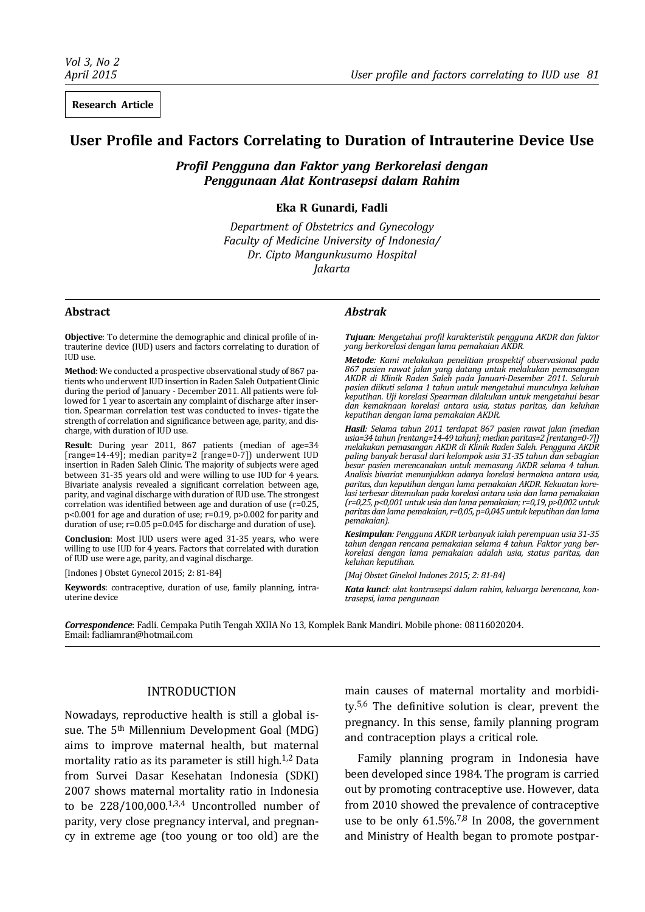**Research Article**

# **User Profile and Factors Correlating to Duration of Intrauterine Device Use**

*Profil Pengguna dan Faktor yang Berkorelasi dengan Penggunaan Alat Kontrasepsi dalam Rahim*

**Eka R Gunardi, Fadli**

*Department of Obstetrics and Gynecology Faculty of Medicine University of Indonesia/ Dr. Cipto Mangunkusumo Hospital Jakarta*

#### **Abstract**

**Objective**: To determine the demographic and clinical profile of intrauterine device (IUD) users and factors correlating to duration of IUD use.

**Method**: We conducted a prospective observational study of 867 patients who underwent IUD insertion in Raden Saleh Outpatient Clinic during the period of January - December 2011. All patients were followed for 1 year to ascertain any complaint of discharge after insertion. Spearman correlation test was conducted to inves- tigate the strength of correlation and significance between age, parity, and discharge, with duration of IUD use.

**Result**: During year 2011, 867 patients (median of age=34 [range=14-49]; median parity=2 [range=0-7]) underwent IUD insertion in Raden Saleh Clinic. The majority of subjects were aged between 31-35 years old and were willing to use IUD for 4 years. Bivariate analysis revealed a significant correlation between age, parity, and vaginal discharge with duration of IUD use. The strongest correlation was identified between age and duration of use (r=0.25, p<0.001 for age and duration of use; r=0.19, p>0.002 for parity and duration of use; r=0.05 p=0.045 for discharge and duration of use).

**Conclusion**: Most IUD users were aged 31-35 years, who were willing to use IUD for 4 years. Factors that correlated with duration of IUD use were age, parity, and vaginal discharge.

[Indones J Obstet Gynecol 2015; 2: 81-84]

**Keywords**: contraceptive, duration of use, family planning, intrauterine device

#### *Abstrak*

*Tujuan: Mengetahui profil karakteristik pengguna AKDR dan faktor yang berkorelasi dengan lama pemakaian AKDR.*

*Metode: Kami melakukan penelitian prospektif observasional pada 867 pasien rawat jalan yang datang untuk melakukan pemasangan AKDR di Klinik Raden Saleh pada Januari-Desember 2011. Seluruh pasien diikuti selama 1 tahun untuk mengetahui munculnya keluhan keputihan. Uji korelasi Spearman dilakukan untuk mengetahui besar dan kemaknaan korelasi antara usia, status paritas, dan keluhan keputihan dengan lama pemakaian AKDR.*

*Hasil: Selama tahun 2011 terdapat 867 pasien rawat jalan (median usia=34 tahun [rentang=14-49 tahun]; median paritas=2 [rentang=0-7]) melakukan pemasangan AKDR di Klinik Raden Saleh. Pengguna AKDR paling banyak berasal dari kelompok usia 31-35 tahun dan sebagian besar pasien merencanakan untuk memasang AKDR selama 4 tahun. Analisis bivariat menunjukkan adanya korelasi bermakna antara usia, paritas, dan keputihan dengan lama pemakaian AKDR. Kekuatan korelasi terbesar ditemukan pada korelasi antara usia dan lama pemakaian (r=0,25, p<0,001 untuk usia dan lama pemakaian; r=0,19, p>0,002 untuk paritas dan lama pemakaian, r=0,05, p=0,045 untuk keputihan dan lama pemakaian).*

*Kesimpulan: Pengguna AKDR terbanyak ialah perempuan usia 31-35 tahun dengan rencana pemakaian selama 4 tahun. Faktor yang berkorelasi dengan lama pemakaian adalah usia, status paritas, dan keluhan keputihan.*

*[Maj Obstet Ginekol Indones 2015; 2: 81-84]*

*Kata kunci: alat kontrasepsi dalam rahim, keluarga berencana, kontrasepsi, lama pengunaan*

*Correspondence*: Fadli. Cempaka Putih Tengah XXIIA No 13, Komplek Bank Mandiri. Mobile phone: 08116020204. Email: fadliamran@hotmail.com

# INTRODUCTION

Nowadays, reproductive health is still a global issue. The 5th Millennium Development Goal (MDG) aims to improve maternal health, but maternal mortality ratio as its parameter is still high.<sup>1,2</sup> Data from Survei Dasar Kesehatan Indonesia (SDKI) 2007 shows maternal mortality ratio in Indonesia to be  $228/100,000$ .<sup>1,3,4</sup> Uncontrolled number of parity, very close pregnancy interval, and pregnancy in extreme age (too young or too old) are the main causes of maternal mortality and morbidity.5,6 The definitive solution is clear, prevent the pregnancy. In this sense, family planning program and contraception plays a critical role.

Family planning program in Indonesia have been developed since 1984. The program is carried out by promoting contraceptive use. However, data from 2010 showed the prevalence of contraceptive use to be only  $61.5\%$ .<sup>7,8</sup> In 2008, the government and Ministry of Health began to promote postpar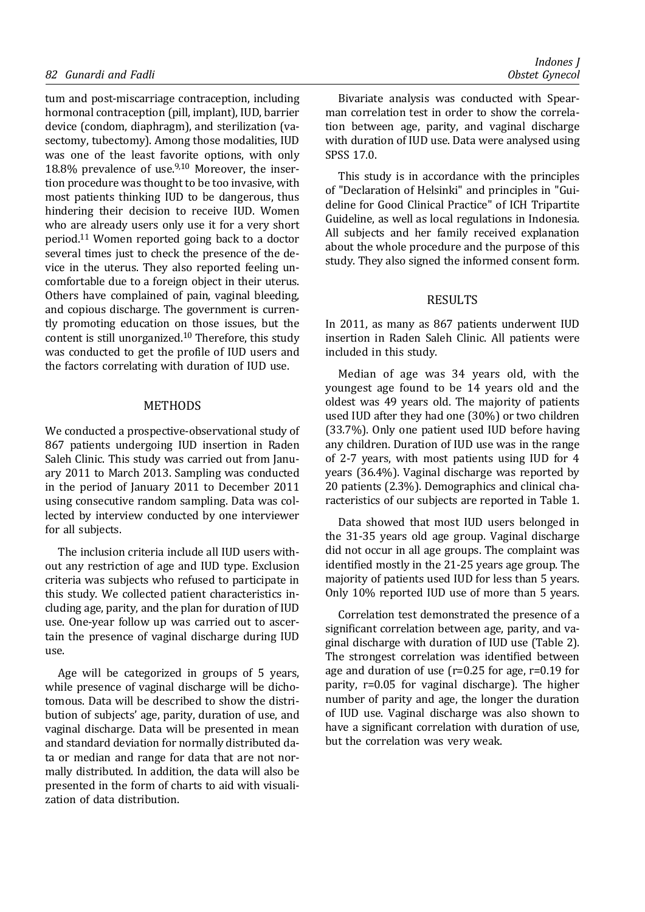tum and post-miscarriage contraception, including hormonal contraception (pill, implant), IUD, barrier device (condom, diaphragm), and sterilization (vasectomy, tubectomy). Among those modalities, IUD was one of the least favorite options, with only 18.8% prevalence of use. $9,10$  Moreover, the insertion procedure was thought to be too invasive, with most patients thinking IUD to be dangerous, thus hindering their decision to receive IUD. Women who are already users only use it for a very short period.11 Women reported going back to a doctor several times just to check the presence of the device in the uterus. They also reported feeling uncomfortable due to a foreign object in their uterus. Others have complained of pain, vaginal bleeding, and copious discharge. The government is currently promoting education on those issues, but the content is still unorganized.<sup>10</sup> Therefore, this study was conducted to get the profile of IUD users and the factors correlating with duration of IUD use.

### METHODS

We conducted a prospective-observational study of 867 patients undergoing IUD insertion in Raden Saleh Clinic. This study was carried out from January 2011 to March 2013. Sampling was conducted in the period of January 2011 to December 2011 using consecutive random sampling. Data was collected by interview conducted by one interviewer for all subjects.

The inclusion criteria include all IUD users without any restriction of age and IUD type. Exclusion criteria was subjects who refused to participate in this study. We collected patient characteristics including age, parity, and the plan for duration of IUD use. One-year follow up was carried out to ascertain the presence of vaginal discharge during IUD use.

Age will be categorized in groups of 5 years, while presence of vaginal discharge will be dichotomous. Data will be described to show the distribution of subjects' age, parity, duration of use, and vaginal discharge. Data will be presented in mean and standard deviation for normally distributed data or median and range for data that are not normally distributed. In addition, the data will also be presented in the form of charts to aid with visualization of data distribution.

Bivariate analysis was conducted with Spearman correlation test in order to show the correlation between age, parity, and vaginal discharge with duration of IUD use. Data were analysed using SPSS 17.0.

This study is in accordance with the principles of "Declaration of Helsinki" and principles in "Guideline for Good Clinical Practice" of ICH Tripartite Guideline, as well as local regulations in Indonesia. All subjects and her family received explanation about the whole procedure and the purpose of this study. They also signed the informed consent form.

#### RESULTS

In 2011, as many as 867 patients underwent IUD insertion in Raden Saleh Clinic. All patients were included in this study.

Median of age was 34 years old, with the youngest age found to be 14 years old and the oldest was 49 years old. The majority of patients used IUD after they had one (30%) or two children (33.7%). Only one patient used IUD before having any children. Duration of IUD use was in the range of 2-7 years, with most patients using IUD for 4 years (36.4%). Vaginal discharge was reported by 20 patients (2.3%). Demographics and clinical characteristics of our subjects are reported in Table 1.

Data showed that most IUD users belonged in the 31-35 years old age group. Vaginal discharge did not occur in all age groups. The complaint was identified mostly in the 21-25 years age group. The majority of patients used IUD for less than 5 years. Only 10% reported IUD use of more than 5 years.

Correlation test demonstrated the presence of a significant correlation between age, parity, and vaginal discharge with duration of IUD use (Table 2). The strongest correlation was identified between age and duration of use (r=0.25 for age, r=0.19 for parity, r=0.05 for vaginal discharge). The higher number of parity and age, the longer the duration of IUD use. Vaginal discharge was also shown to have a significant correlation with duration of use, but the correlation was very weak.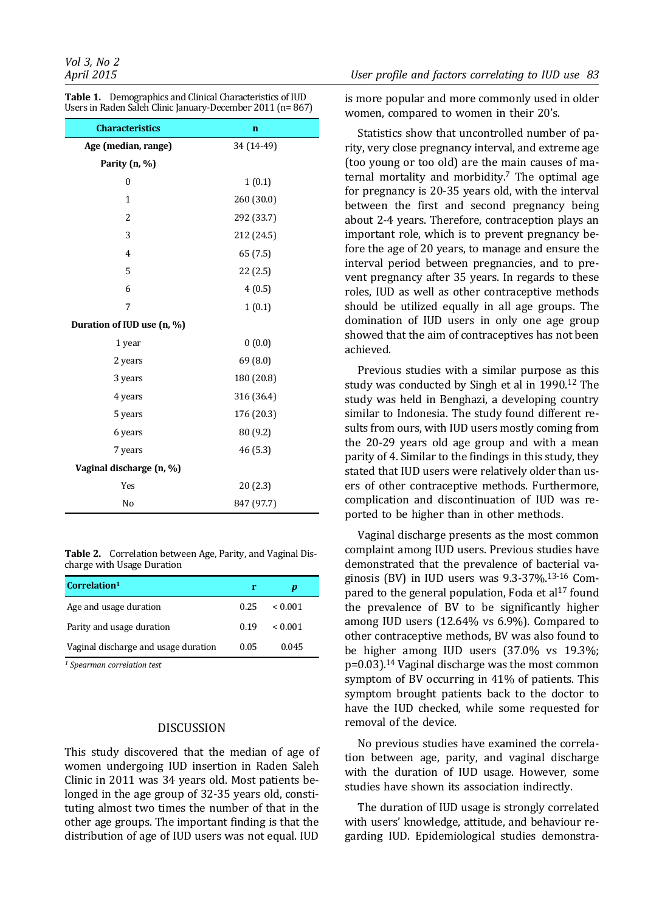| Users in Raden Saleh Clinic January-December 2011 (n= 867) |             |  |
|------------------------------------------------------------|-------------|--|
| <b>Characteristics</b>                                     | $\mathbf n$ |  |
| Age (median, range)                                        | 34 (14-49)  |  |
| Parity (n, %)                                              |             |  |
| $\mathbf{0}$                                               | 1(0.1)      |  |
| $\mathbf{1}$                                               | 260 (30.0)  |  |
| $\overline{c}$                                             | 292 (33.7)  |  |
| 3                                                          | 212 (24.5)  |  |
| 4                                                          | 65 (7.5)    |  |
| 5                                                          | 22 (2.5)    |  |
| 6                                                          | 4(0.5)      |  |
| 7                                                          | 1(0.1)      |  |
| Duration of IUD use (n, %)                                 |             |  |
| 1 year                                                     | 0(0.0)      |  |
| 2 years                                                    | 69 (8.0)    |  |
| 3 years                                                    | 180 (20.8)  |  |
| 4 years                                                    | 316 (36.4)  |  |
| 5 years                                                    | 176 (20.3)  |  |
| 6 years                                                    | 80 (9.2)    |  |
| 7 years                                                    | 46 (5.3)    |  |
| Vaginal discharge (n, %)                                   |             |  |
| Yes                                                        | 20(2.3)     |  |
| No                                                         | 847 (97.7)  |  |

**Table 1.** Demographics and Clinical Characteristics of IUD Users in Raden Saleh Clinic January-December 2011 (n= 867)

**Table 2.** Correlation between Age, Parity, and Vaginal Discharge with Usage Duration

| Correlation <sup>1</sup>             |      | D       |
|--------------------------------------|------|---------|
| Age and usage duration               | 0.25 | < 0.001 |
| Parity and usage duration            | 0.19 | < 0.001 |
| Vaginal discharge and usage duration | 0.05 | 0.045   |

*1 Spearman correlation test*

# DISCUSSION

This study discovered that the median of age of women undergoing IUD insertion in Raden Saleh Clinic in 2011 was 34 years old. Most patients belonged in the age group of 32-35 years old, constituting almost two times the number of that in the other age groups. The important finding is that the distribution of age of IUD users was not equal. IUD

is more popular and more commonly used in older women, compared to women in their 20's.

Statistics show that uncontrolled number of parity, very close pregnancy interval, and extreme age (too young or too old) are the main causes of maternal mortality and morbidity.<sup>7</sup> The optimal age for pregnancy is 20-35 years old, with the interval between the first and second pregnancy being about 2-4 years. Therefore, contraception plays an important role, which is to prevent pregnancy before the age of 20 years, to manage and ensure the interval period between pregnancies, and to prevent pregnancy after 35 years. In regards to these roles, IUD as well as other contraceptive methods should be utilized equally in all age groups. The domination of IUD users in only one age group showed that the aim of contraceptives has not been achieved.

Previous studies with a similar purpose as this study was conducted by Singh et al in 1990.12 The study was held in Benghazi, a developing country similar to Indonesia. The study found different results from ours, with IUD users mostly coming from the 20-29 years old age group and with a mean parity of 4. Similar to the findings in this study, they stated that IUD users were relatively older than users of other contraceptive methods. Furthermore, complication and discontinuation of IUD was reported to be higher than in other methods.

Vaginal discharge presents as the most common complaint among IUD users. Previous studies have demonstrated that the prevalence of bacterial vaginosis (BV) in IUD users was 9.3-37%.13-16 Compared to the general population, Foda et al<sup>17</sup> found the prevalence of BV to be significantly higher among IUD users (12.64% vs 6.9%). Compared to other contraceptive methods, BV was also found to be higher among IUD users (37.0% vs 19.3%; p=0.03).14 Vaginal discharge was the most common symptom of BV occurring in 41% of patients. This symptom brought patients back to the doctor to have the IUD checked, while some requested for removal of the device.

No previous studies have examined the correlation between age, parity, and vaginal discharge with the duration of IUD usage. However, some studies have shown its association indirectly.

The duration of IUD usage is strongly correlated with users' knowledge, attitude, and behaviour regarding IUD. Epidemiological studies demonstra